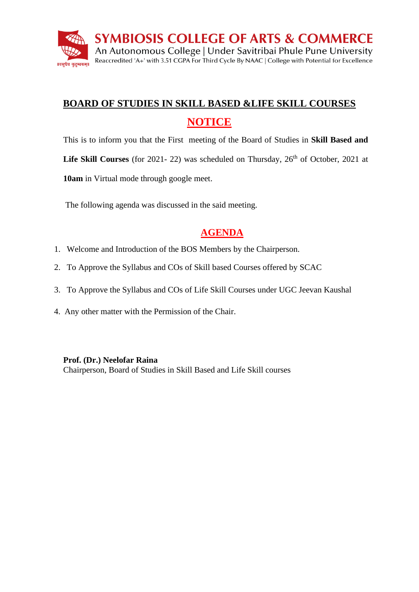

# **BOARD OF STUDIES IN SKILL BASED &LIFE SKILL COURSES NOTICE**

This is to inform you that the First meeting of the Board of Studies in **Skill Based and** 

**Life Skill Courses** (for 2021-22) was scheduled on Thursday,  $26<sup>th</sup>$  of October, 2021 at

**10am** in Virtual mode through google meet.

The following agenda was discussed in the said meeting.

## **AGENDA**

- 1. Welcome and Introduction of the BOS Members by the Chairperson.
- 2. To Approve the Syllabus and COs of Skill based Courses offered by SCAC
- 3. To Approve the Syllabus and COs of Life Skill Courses under UGC Jeevan Kaushal
- 4. Any other matter with the Permission of the Chair.

#### **Prof. (Dr.) Neelofar Raina**

Chairperson, Board of Studies in Skill Based and Life Skill courses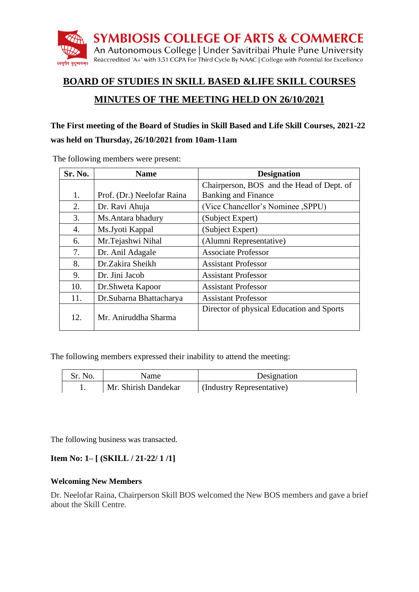

## **BOARD OF STUDIES IN SKILL BASED &LIFE SKILL COURSES**

## **MINUTES OF THE MEETING HELD ON 26/10/2021**

#### **The First meeting of the Board of Studies in Skill Based and Life Skill Courses, 2021-22**

#### **was held on Thursday, 26/10/2021 from 10am-11am**

| Sr. No.          | <b>Name</b>                | <b>Designation</b>                        |
|------------------|----------------------------|-------------------------------------------|
|                  |                            | Chairperson, BOS and the Head of Dept. of |
| 1.               | Prof. (Dr.) Neelofar Raina | <b>Banking and Finance</b>                |
| 2.               | Dr. Ravi Ahuja             | (Vice Chancellor's Nominee , SPPU)        |
| 3.               | Ms. Antara bhadury         | (Subject Expert)                          |
| $\overline{4}$ . | Ms. Jyoti Kappal           | (Subject Expert)                          |
| 6.               | Mr.Tejashwi Nihal          | (Alumni Representative)                   |
| 7.               | Dr. Anil Adagale           | <b>Associate Professor</b>                |
| 8.               | Dr.Zakira Sheikh           | <b>Assistant Professor</b>                |
| 9.               | Dr. Jini Jacob             | <b>Assistant Professor</b>                |
| 10.              | Dr. Shweta Kapoor          | <b>Assistant Professor</b>                |
| 11.              | Dr. Subarna Bhattacharya   | <b>Assistant Professor</b>                |
| 12.              | Mr. Aniruddha Sharma       | Director of physical Education and Sports |

The following members were present:

The following members expressed their inability to attend the meeting:

| Sr. No. | Name                 | Designation               |
|---------|----------------------|---------------------------|
|         | Mr. Shirish Dandekar | (Industry Representative) |

The following business was transacted.

## **Item No: 1– [ (SKILL / 21-22/ 1 /1]**

#### **Welcoming New Members**

Dr. Neelofar Raina, Chairperson Skill BOS welcomed the New BOS members and gave a brief about the Skill Centre.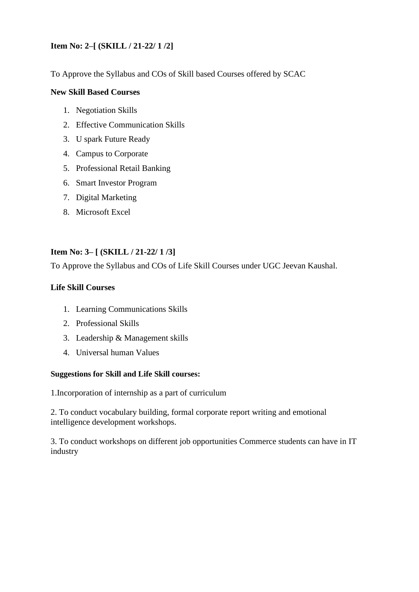## **Item No: 2–[ (SKILL / 21-22/ 1 /2]**

To Approve the Syllabus and COs of Skill based Courses offered by SCAC

#### **New Skill Based Courses**

- 1. Negotiation Skills
- 2. Effective Communication Skills
- 3. U spark Future Ready
- 4. Campus to Corporate
- 5. Professional Retail Banking
- 6. Smart Investor Program
- 7. Digital Marketing
- 8. Microsoft Excel

## **Item No: 3– [ (SKILL / 21-22/ 1 /3]**

To Approve the Syllabus and COs of Life Skill Courses under UGC Jeevan Kaushal.

## **Life Skill Courses**

- 1. Learning Communications Skills
- 2. Professional Skills
- 3. Leadership & Management skills
- 4. Universal human Values

## **Suggestions for Skill and Life Skill courses:**

1.Incorporation of internship as a part of curriculum

2. To conduct vocabulary building, formal corporate report writing and emotional intelligence development workshops.

3. To conduct workshops on different job opportunities Commerce students can have in IT industry